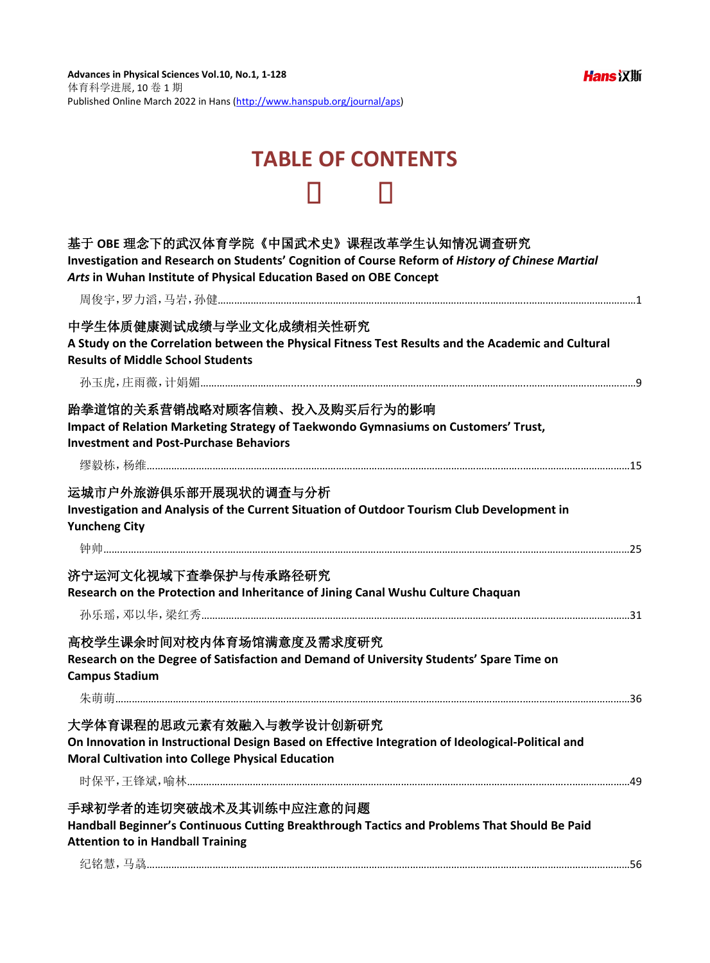## **TABLE OF CONTENTS**

| 基于 OBE 理念下的武汉体育学院《中国武术史》课程改革学生认知情况调查研究<br>Investigation and Research on Students' Cognition of Course Reform of History of Chinese Martial<br>Arts in Wuhan Institute of Physical Education Based on OBE Concept |
|------------------------------------------------------------------------------------------------------------------------------------------------------------------------------------------------------------------|
|                                                                                                                                                                                                                  |
| 中学生体质健康测试成绩与学业文化成绩相关性研究<br>A Study on the Correlation between the Physical Fitness Test Results and the Academic and Cultural<br><b>Results of Middle School Students</b>                                        |
|                                                                                                                                                                                                                  |
| 跆拳道馆的关系营销战略对顾客信赖、投入及购买后行为的影响<br>Impact of Relation Marketing Strategy of Taekwondo Gymnasiums on Customers' Trust,<br><b>Investment and Post-Purchase Behaviors</b>                                              |
| 运城市户外旅游俱乐部开展现状的调查与分析<br>Investigation and Analysis of the Current Situation of Outdoor Tourism Club Development in<br><b>Yuncheng City</b>                                                                       |
|                                                                                                                                                                                                                  |
| 济宁运河文化视域下查拳保护与传承路径研究<br>Research on the Protection and Inheritance of Jining Canal Wushu Culture Chaquan                                                                                                         |
| 高校学生课余时间对校内体育场馆满意度及需求度研究<br>Research on the Degree of Satisfaction and Demand of University Students' Spare Time on<br><b>Campus Stadium</b>                                                                     |
| 大学体育课程的思政元素有效融入与教学设计创新研究                                                                                                                                                                                         |
| On Innovation in Instructional Design Based on Effective Integration of Ideological-Political and<br><b>Moral Cultivation into College Physical Education</b>                                                    |
|                                                                                                                                                                                                                  |
| 手球初学者的连切突破战术及其训练中应注意的问题<br>Handball Beginner's Continuous Cutting Breakthrough Tactics and Problems That Should Be Paid<br><b>Attention to in Handball Training</b>                                              |
|                                                                                                                                                                                                                  |